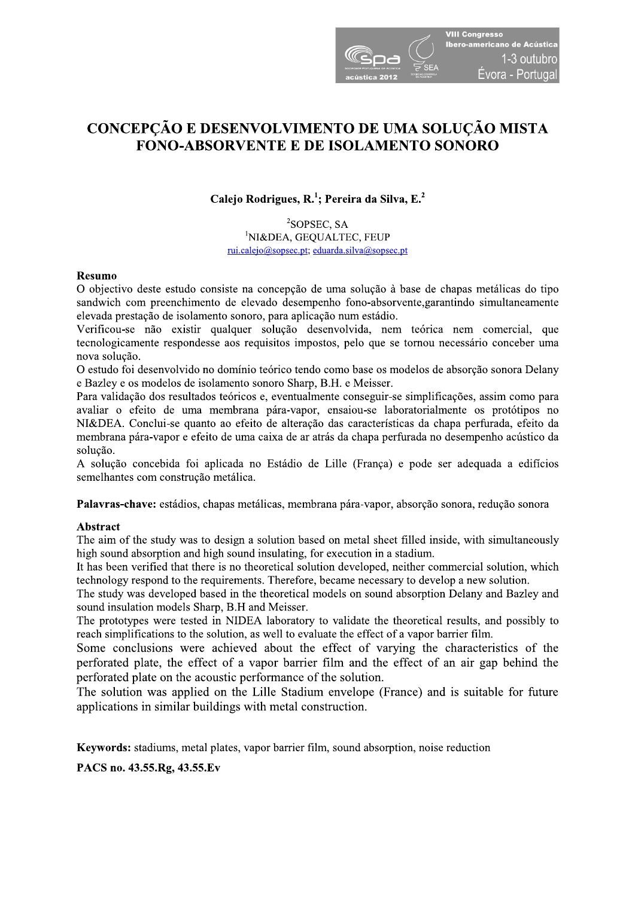

# CONCEPÇÃO E DESENVOLVIMENTO DE UMA SOLUÇÃO MISTA **FONO-ABSORVENTE E DE ISOLAMENTO SONORO**

Calejo Rodrigues, R.<sup>1</sup>; Pereira da Silva, E.<sup>2</sup>

<sup>2</sup>SOPSEC, SA <sup>1</sup>NI&DEA, GEQUALTEC, FEUP rui.calejo@sopsec.pt; eduarda.silva@sopsec.pt

## **Resumo**

O objectivo deste estudo consiste na concepção de uma solução à base de chapas metálicas do tipo sandwich com preenchimento de elevado desempenho fono-absorvente, garantindo simultaneamente elevada prestação de isolamento sonoro, para aplicação num estádio.

Verificou-se não existir qualquer solução desenvolvida, nem teórica nem comercial, que tecnologicamente respondesse aos requisitos impostos, pelo que se tornou necessário conceber uma nova solução.

O estudo foi desenvolvido no domínio teórico tendo como base os modelos de absorção sonora Delany e Bazley e os modelos de isolamento sonoro Sharp, B.H. e Meisser.

Para validação dos resultados teóricos e, eventualmente conseguir-se simplificações, assim como para avaliar o efeito de uma membrana pára-vapor, ensaiou-se laboratorialmente os protótipos no NI&DEA. Conclui-se quanto ao efeito de alteração das características da chapa perfurada, efeito da membrana pára-vapor e efeito de uma caixa de ar atrás da chapa perfurada no desempenho acústico da solucão.

A solução concebida foi aplicada no Estádio de Lille (França) e pode ser adequada a edifícios semelhantes com construção metálica.

Palavras-chave: estádios, chapas metálicas, membrana pára-vapor, absorção sonora, redução sonora

## Abstract

The aim of the study was to design a solution based on metal sheet filled inside, with simultaneously high sound absorption and high sound insulating, for execution in a stadium.

It has been verified that there is no theoretical solution developed, neither commercial solution, which technology respond to the requirements. Therefore, became necessary to develop a new solution.

The study was developed based in the theoretical models on sound absorption Delany and Bazley and sound insulation models Sharp, B.H and Meisser.

The prototypes were tested in NIDEA laboratory to validate the theoretical results, and possibly to reach simplifications to the solution, as well to evaluate the effect of a vapor barrier film.

Some conclusions were achieved about the effect of varying the characteristics of the perforated plate, the effect of a vapor barrier film and the effect of an air gap behind the perforated plate on the acoustic performance of the solution.

The solution was applied on the Lille Stadium envelope (France) and is suitable for future applications in similar buildings with metal construction.

**Keywords:** stadiums, metal plates, vapor barrier film, sound absorption, noise reduction

PACS no. 43.55.Rg, 43.55.Ev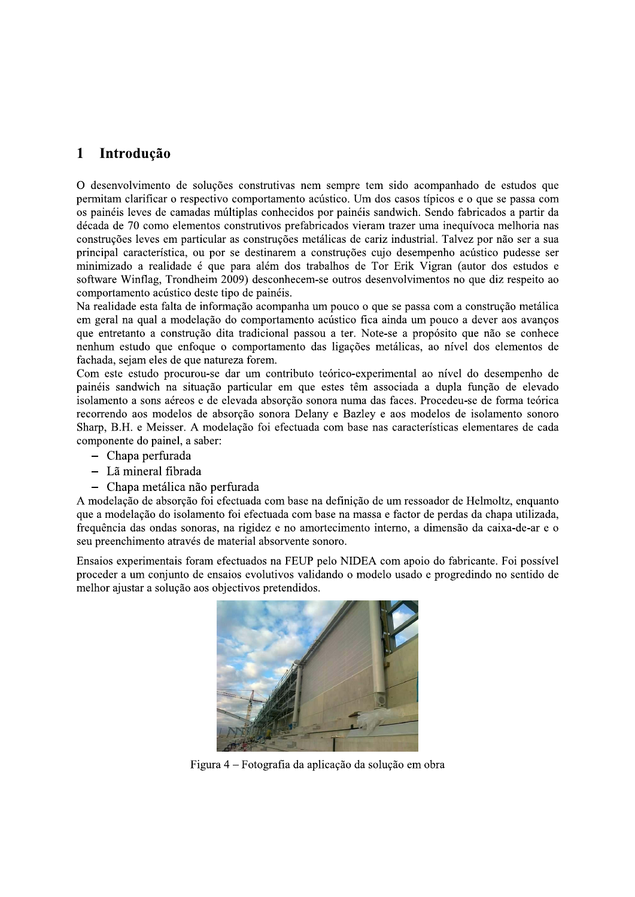### $\mathbf{1}$ Introdução

O desenvolvimento de soluções construtivas nem sempre tem sido acompanhado de estudos que permitam clarificar o respectivo comportamento acústico. Um dos casos típicos e o que se passa com os painéis leves de camadas múltiplas conhecidos por painéis sandwich. Sendo fabricados a partir da década de 70 como elementos construtivos prefabricados vieram trazer uma inequívoca melhoria nas construções leves em particular as construções metálicas de cariz industrial. Talvez por não ser a sua principal característica, ou por se destinarem a construções cujo desempenho acústico pudesse ser minimizado a realidade é que para além dos trabalhos de Tor Erik Vigran (autor dos estudos e software Winflag, Trondheim 2009) desconhecem-se outros desenvolvimentos no que diz respeito ao comportamento acústico deste tipo de painéis.

Na realidade esta falta de informação acompanha um pouco o que se passa com a construção metálica em geral na qual a modelação do comportamento acústico fica ainda um pouco a dever aos avanços que entretanto a construção dita tradicional passou a ter. Note-se a propósito que não se conhece nenhum estudo que enfoque o comportamento das ligações metálicas, ao nível dos elementos de fachada, sejam eles de que natureza forem.

Com este estudo procurou-se dar um contributo teórico-experimental ao nível do desempenho de painéis sandwich na situação particular em que estes têm associada a dupla função de elevado isolamento a sons aéreos e de elevada absorção sonora numa das faces. Procedeu-se de forma teórica recorrendo aos modelos de absorção sonora Delany e Bazley e aos modelos de isolamento sonoro Sharp, B.H. e Meisser. A modelação foi efectuada com base nas características elementares de cada componente do painel, a saber:

- Chapa perfurada
- Lã mineral fibrada
- Chapa metálica não perfurada

A modelação de absorção foi efectuada com base na definição de um ressoador de Helmoltz, enquanto que a modelação do isolamento foi efectuada com base na massa e factor de perdas da chapa utilizada, frequência das ondas sonoras, na rigidez e no amortecimento interno, a dimensão da caixa-de-ar e o seu preenchimento através de material absorvente sonoro.

Ensaios experimentais foram efectuados na FEUP pelo NIDEA com apoio do fabricante. Foi possível proceder a um conjunto de ensaios evolutivos validando o modelo usado e progredindo no sentido de melhor ajustar a solução aos objectivos pretendidos.



Figura 4 – Fotografia da aplicação da solução em obra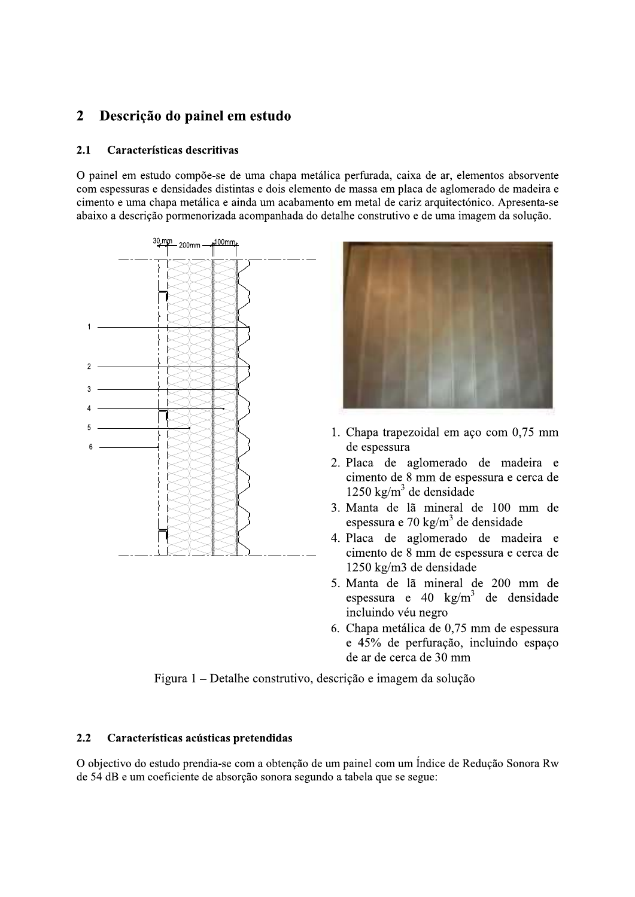### $\overline{2}$ Descrição do painel em estudo

#### $2.1$ Características descritivas

O painel em estudo compõe-se de uma chapa metálica perfurada, caixa de ar, elementos absorvente com espessuras e densidades distintas e dois elemento de massa em placa de aglomerado de madeira e cimento e uma chapa metálica e ainda um acabamento em metal de cariz arquitectónico. Apresenta-se abaixo a descrição pormenorizada acompanhada do detalhe construtivo e de uma imagem da solução.





- 1. Chapa trapezoidal em aço com 0,75 mm de espessura
- 2. Placa de aglomerado de madeira e cimento de 8 mm de espessura e cerca de  $1250 \text{ kg/m}^3$  de densidade
- 3. Manta de lã mineral de 100 mm de espessura e 70 kg/m<sup>3</sup> de densidade
- 4. Placa de aglomerado de madeira e cimento de 8 mm de espessura e cerca de 1250 kg/m3 de densidade
- 5. Manta de lã mineral de 200 mm de espessura e 40  $\text{kg/m}^3$  de densidade incluindo véu negro
- 6. Chapa metálica de 0,75 mm de espessura e 45% de perfuração, incluindo espaço de ar de cerca de 30 mm

Figura 1 – Detalhe construtivo, descrição e imagem da solução

### $2.2$ Características acústicas pretendidas

O objectivo do estudo prendia-se com a obtenção de um painel com um Índice de Redução Sonora Rw de 54 dB e um coeficiente de absorção sonora segundo a tabela que se segue: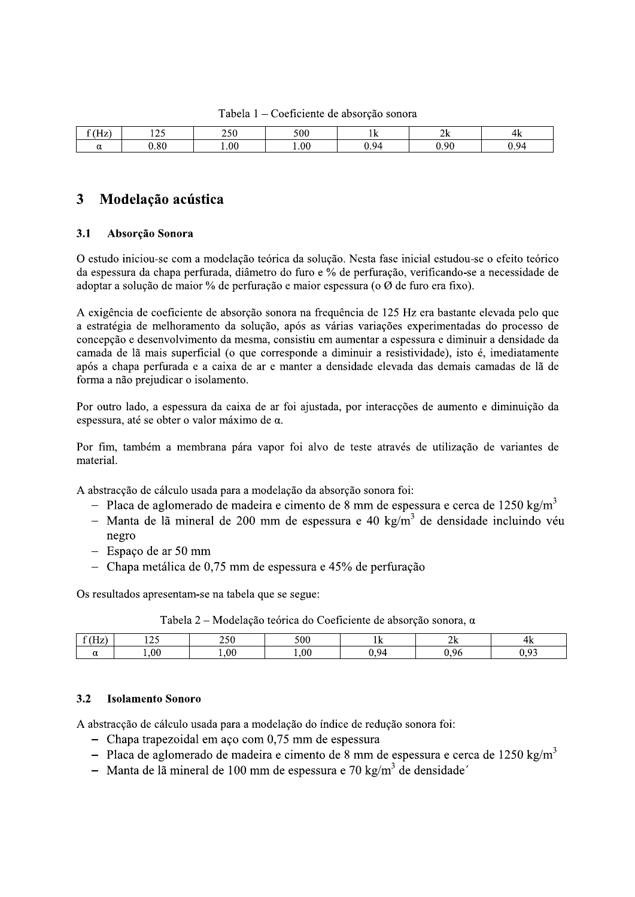Tabela 1 – Coeficiente de absorção sonora

| <b>CONT</b><br>- -<br>بمللين | 107<br>- <i>- -</i> | າເດ<br>ZJU | 500   | TV.  | n.<br>.<br>∠⊾ | 4ĸ         |
|------------------------------|---------------------|------------|-------|------|---------------|------------|
| ື                            | $0.80\,$            | 0.01       | 0.011 | J.94 | J.90-         | $Q_{\ell}$ |

### $\overline{\mathbf{3}}$ Modelação acústica

#### $3.1$ Absorção Sonora

O estudo iniciou-se com a modelação teórica da solução. Nesta fase inicial estudou-se o efeito teórico da espessura da chapa perfurada, diâmetro do furo e % de perfuração, verificando-se a necessidade de adoptar a solução de maior % de perfuração e maior espessura (o Ø de furo era fixo).

A exigência de coeficiente de absorção sonora na frequência de 125 Hz era bastante elevada pelo que a estratégia de melhoramento da solução, após as várias variações experimentadas do processo de concepção e desenvolvimento da mesma, consistiu em aumentar a espessura e diminuir a densidade da camada de lã mais superficial (o que corresponde a diminuir a resistividade), isto é, imediatamente após a chapa perfurada e a caixa de ar e manter a densidade elevada das demais camadas de lã de forma a não prejudicar o isolamento.

Por outro lado, a espessura da caixa de ar foi ajustada, por interacções de aumento e diminuição da espessura, até se obter o valor máximo de α.

Por fim, também a membrana pára vapor foi alvo de teste através de utilização de variantes de material.

A abstracção de cálculo usada para a modelação da absorção sonora foi:

- Placa de aglomerado de madeira e cimento de 8 mm de espessura e cerca de 1250 kg/m<sup>3</sup>
- Manta de lã mineral de 200 mm de espessura e 40 kg/m<sup>3</sup> de densidade incluindo véu negro
- Espaço de ar 50 mm
- Chapa metálica de 0.75 mm de espessura e 45% de perfuração

Os resultados apresentam-se na tabela que se segue:

| Tabela 2 – Modelação teórica do Coeficiente de absorção sonora, $\alpha$ |  |  |  |  |
|--------------------------------------------------------------------------|--|--|--|--|
|--------------------------------------------------------------------------|--|--|--|--|

| .<br>л. |      | ້       | 500 | T LF         | 73.      |
|---------|------|---------|-----|--------------|----------|
|         | .00. | $.00\,$ | .00 | $Q_{\Delta}$ | $\Omega$ |

#### $3.2$ **Isolamento Sonoro**

A abstracção de cálculo usada para a modelação do índice de redução sonora foi:

- Chapa trapezoidal em aço com 0,75 mm de espessura
- Placa de aglomerado de madeira e cimento de 8 mm de espessura e cerca de 1250 kg/m<sup>3</sup>
- Manta de lã mineral de 100 mm de espessura e 70  $\text{kg/m}^3$  de densidade'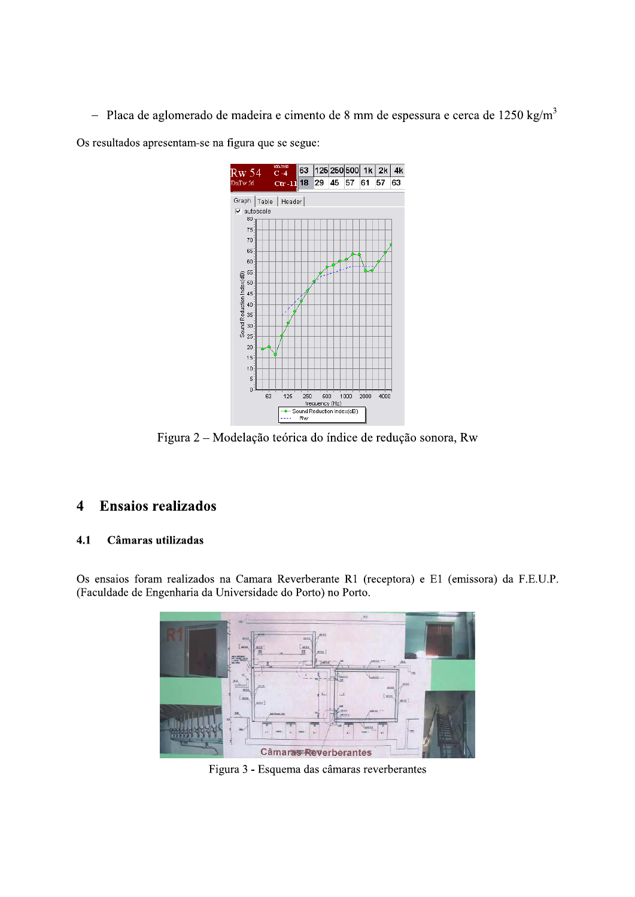- Placa de aglomerado de madeira e cimento de 8 mm de espessura e cerca de 1250 kg/m<sup>3</sup>

Os resultados apresentam-se na figura que se segue:



Figura 2 – Modelação teórica do índice de redução sonora, Rw

### **Ensaios realizados**  $\overline{\mathbf{4}}$

#### Câmaras utilizadas  $4.1$

Os ensaios foram realizados na Camara Reverberante R1 (receptora) e E1 (emissora) da F.E.U.P. (Faculdade de Engenharia da Universidade do Porto) no Porto.



Figura 3 - Esquema das câmaras reverberantes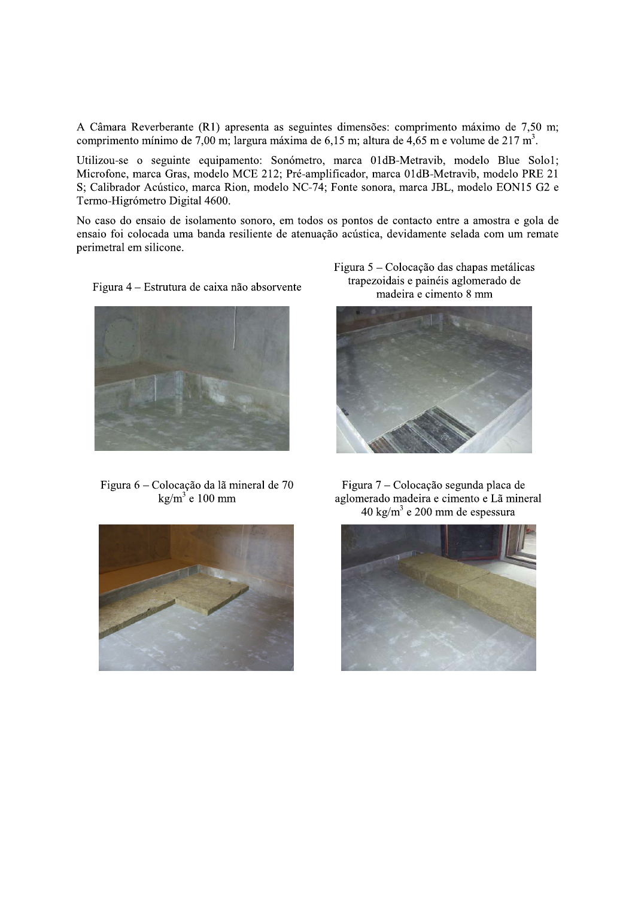A Câmara Reverberante (R1) apresenta as seguintes dimensões: comprimento máximo de 7,50 m; comprimento mínimo de 7,00 m; largura máxima de 6,15 m; altura de 4,65 m e volume de 217 m<sup>3</sup>.

Utilizou-se o seguinte equipamento: Sonómetro, marca 01dB-Metravib, modelo Blue Solo1; Microfone, marca Gras, modelo MCE 212; Pré-amplificador, marca 01dB-Metravib, modelo PRE 21 S; Calibrador Acústico, marca Rion, modelo NC-74; Fonte sonora, marca JBL, modelo EON15 G2 e Termo-Higrómetro Digital 4600.

No caso do ensaio de isolamento sonoro, em todos os pontos de contacto entre a amostra e gola de ensaio foi colocada uma banda resiliente de atenuação acústica, devidamente selada com um remate perimetral em silicone.



Figura 6 – Colocação da lã mineral de 70  $\text{kg/m}^3$  e 100 mm



Figura 5 – Colocação das chapas metálicas trapezoidais e painéis aglomerado de madeira e cimento 8 mm



Figura 7 – Colocação segunda placa de aglomerado madeira e cimento e Lã mineral 40 kg/m<sup>3</sup> e 200 mm de espessura



Figura 4 – Estrutura de caixa não absorvente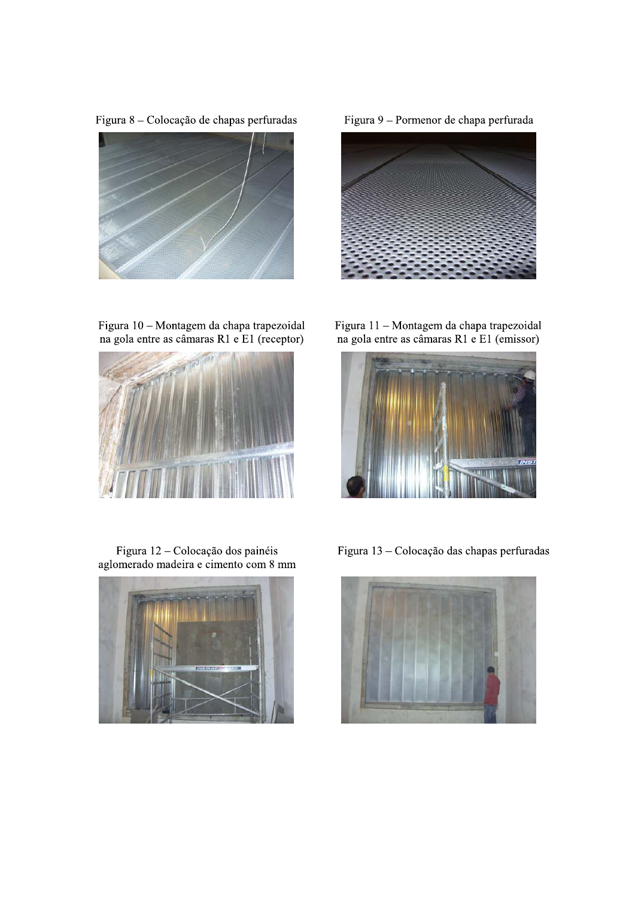Figura 8 - Colocação de chapas perfuradas



Figura 9 - Pormenor de chapa perfurada



Figura 10 – Montagem da chapa trapezoidal<br>na gola entre as câmaras R1 e E1 (receptor)

Figura 12 - Colocação dos painéis aglomerado madeira e cimento com 8 mm



Figura 11 – Montagem da chapa trapezoidal<br>na gola entre as câmaras R1 e E1 (emissor)



Figura 13 - Colocação das chapas perfuradas

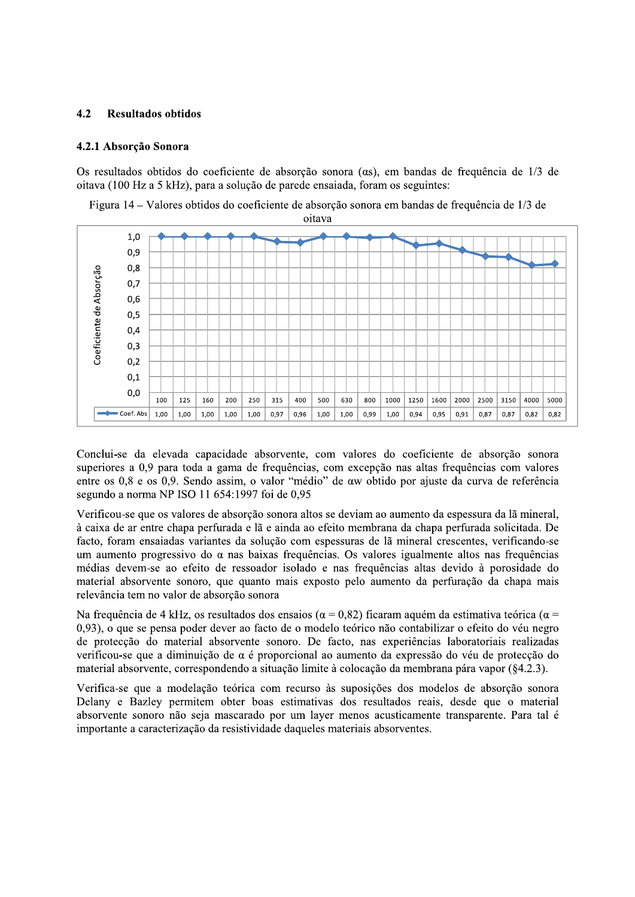#### $4.2$ **Resultados obtidos**

## 4.2.1 Absorção Sonora

Os resultados obtidos do coeficiente de absorção sonora (as), em bandas de frequência de 1/3 de oitava (100 Hz a 5 kHz), para a solução de parede ensajada, foram os seguintes:

Figura 14 – Valores obtidos do coeficiente de absorção sonora em bandas de frequência de 1/3 de



Conclui-se da elevada capacidade absorvente, com valores do coeficiente de absorção sonora superiores a 0,9 para toda a gama de frequências, com excepção nas altas frequências com valores entre os 0,8 e os 0,9. Sendo assim, o valor "médio" de aw obtido por ajuste da curva de referência segundo a norma NP ISO 11 654:1997 foi de 0,95

Verificou-se que os valores de absorção sonora altos se deviam ao aumento da espessura da lã mineral, à caixa de ar entre chapa perfurada e lã e ainda ao efeito membrana da chapa perfurada solicitada. De facto, foram ensaiadas variantes da solução com espessuras de lã mineral crescentes, verificando-se um aumento progressivo do  $\alpha$  nas baixas freguências. Os valores igualmente altos nas freguências médias devem-se ao efeito de ressoador isolado e nas freguências altas devido à porosidade do material absorvente sonoro, que quanto mais exposto pelo aumento da perfuração da chapa mais relevância tem no valor de absorção sonora

Na frequência de 4 kHz, os resultados dos ensaios ( $\alpha$  = 0.82) ficaram aquém da estimativa teórica ( $\alpha$  = 0,93), o que se pensa poder dever ao facto de o modelo teórico não contabilizar o efeito do véu negro de protecção do material absorvente sonoro. De facto, nas experiências laboratoriais realizadas verificou-se que a diminuição de  $\alpha$  é proporcional ao aumento da expressão do véu de protecção do material absorvente, correspondendo a situação limite à colocação da membrana pára vapor (§4.2.3).

Verifica-se que a modelação teórica com recurso às suposições dos modelos de absorção sonora Delany e Bazley permitem obter boas estimativas dos resultados reais, desde que o material absorvente sonoro não seja mascarado por um layer menos acusticamente transparente. Para tal é importante a caracterização da resistividade daqueles materiais absorventes.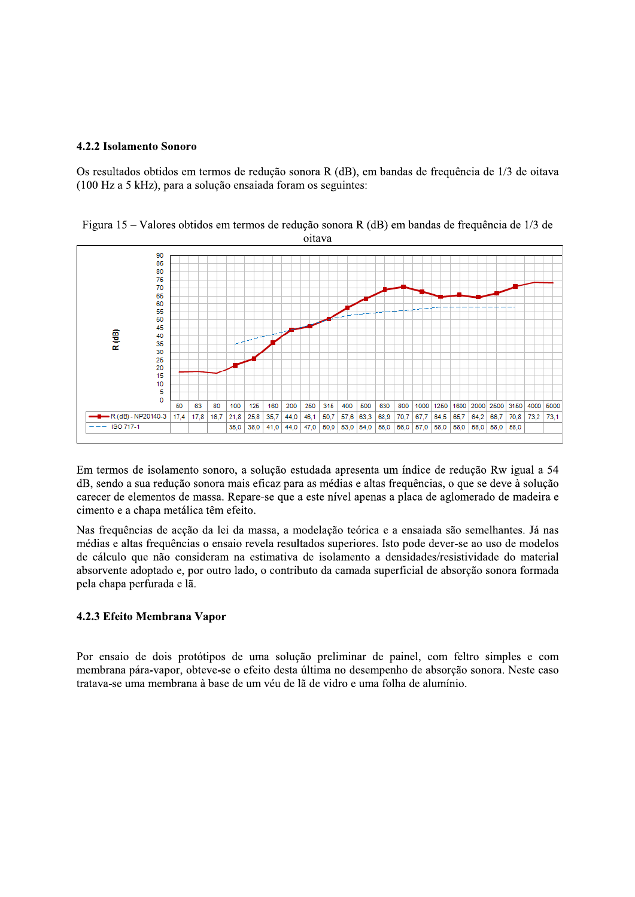## 4.2.2 Isolamento Sonoro

Os resultados obtidos em termos de redução sonora R (dB), em bandas de frequência de 1/3 de oitava (100 Hz a 5 kHz), para a solução ensaiada foram os seguintes:

Figura 15 – Valores obtidos em termos de redução sonora R (dB) em bandas de frequência de 1/3 de oitava



Em termos de isolamento sonoro, a solução estudada apresenta um índice de redução Rw igual a 54 dB, sendo a sua redução sonora mais eficaz para as médias e altas frequências, o que se deve à solução carecer de elementos de massa. Repare-se que a este nível apenas a placa de aglomerado de madeira e cimento e a chapa metálica têm efeito.

Nas frequências de acção da lei da massa, a modelação teórica e a ensaiada são semelhantes. Já nas médias e altas frequências o ensaio revela resultados superiores. Isto pode dever-se ao uso de modelos de cálculo que não consideram na estimativa de isolamento a densidades/resistividade do material absorvente adoptado e, por outro lado, o contributo da camada superficial de absorção sonora formada pela chapa perfurada e lã.

## 4.2.3 Efeito Membrana Vapor

Por ensaio de dois protótipos de uma solução preliminar de painel, com feltro simples e com membrana pára-vapor, obteve-se o efeito desta última no desempenho de absorção sonora. Neste caso tratava-se uma membrana à base de um véu de lã de vidro e uma folha de alumínio.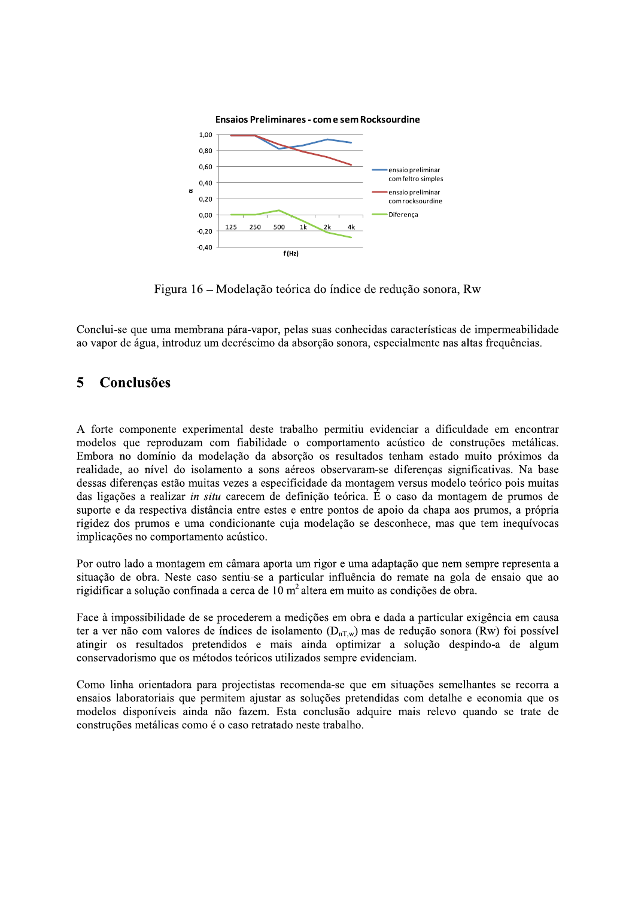

 $\mathbb{R}^2$ Figura 16 – Modelação teorica do indice de redução sonora, Rw

Conclui-se que uma membrana pára-vapor, pelas suas conhecidas características de impermeabilidade ao vapor de água, introduz um decréscimo da absorção sonora, especialmente nas altas frequências.

# $\bar{5}$  Conclusões

4 A forte componente experimental deste trabalho permitiu evidenciar a dificuldade em encontrar modelos que reproduzam com fiabilidade o comportamento acústico de construções metálicas. Embora no domínio da modelação da absorção os resultados tenham estado muito próximos da realidade, ao nível do isolamento a sons aéreos observaram-se diferenças significativas. Na base dessas diferenças estão muitas vezes a especificidade da montagem versus modelo teórico pois muitas das ligações a realizar *in situ* carecem de definição teórica. É o caso da montagem de prumos de suporte e da respectiva distância entre estes e entre pontos de apoio da chapa aos prumos, a própria rigidez dos prumos e uma condicionante cuja modelação se desconhece, mas que tem inequívocas implicações no comportamento acústico.

4 Por outro lado a montagem em camara aporta um rigor e uma adaptaçao que nem sempre representa a situação de obra. Neste caso sentiu-se a particular influência do remate na gola de ensaio que ao rigidificar a solução confinada a cerca de 10 m<sup>2</sup> altera em muito as condições de obra.

4 Face a impossibilidade de se procederem a medições em obra e dada a particular exigencia em causa ter a ver não com valores de índices de isolamento  $(D_{nTw})$  mas de redução sonora (Rw) foi possível atingir os resultados pretendidos e mais ainda optimizar a solução despindo-a de algum conservadorismo que os métodos teóricos utilizados sempre evidenciam.

4 Como linha orientadora para projectistas recomenda-se que em situações semelhantes se recorra a ensaios laboratoriais que permitem ajustar as soluções pretendidas com detalhe e economia que os modelos disponíveis ainda não fazem. Esta conclusão adquire mais relevo quando se trate de construções metálicas como é o caso retratado neste trabalho.